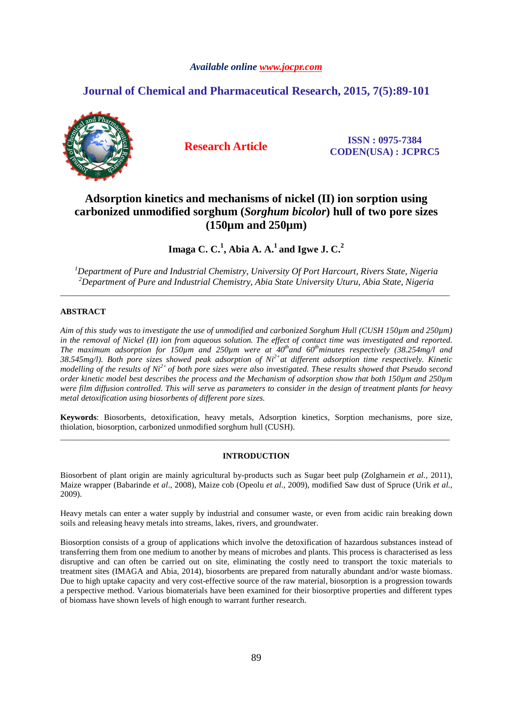# *Available online www.jocpr.com*

# **Journal of Chemical and Pharmaceutical Research, 2015, 7(5):89-101**



**Research Article ISSN : 0975-7384 CODEN(USA) : JCPRC5**

# **Adsorption kinetics and mechanisms of nickel (II) ion sorption using carbonized unmodified sorghum (***Sorghum bicolor***) hull of two pore sizes (150µm and 250µm)**

**Imaga C. C.<sup>1</sup> , Abia A. A.<sup>1</sup>and Igwe J. C.<sup>2</sup>**

*<sup>1</sup>Department of Pure and Industrial Chemistry, University Of Port Harcourt, Rivers State, Nigeria <sup>2</sup>Department of Pure and Industrial Chemistry, Abia State University Uturu, Abia State, Nigeria*  \_\_\_\_\_\_\_\_\_\_\_\_\_\_\_\_\_\_\_\_\_\_\_\_\_\_\_\_\_\_\_\_\_\_\_\_\_\_\_\_\_\_\_\_\_\_\_\_\_\_\_\_\_\_\_\_\_\_\_\_\_\_\_\_\_\_\_\_\_\_\_\_\_\_\_\_\_\_\_\_\_\_\_\_\_\_\_\_\_\_\_\_\_

# **ABSTRACT**

*Aim of this study was to investigate the use of unmodified and carbonized Sorghum Hull (CUSH 150µm and 250µm)*  in the removal of Nickel (II) ion from aqueous solution. The effect of contact time was investigated and reported. *The maximum adsorption for 150µm and 250µm were at 40thand 60thminutes respectively (38.254mg/l and 38.545mg/l). Both pore sizes showed peak adsorption of Ni2+at different adsorption time respectively. Kinetic modelling of the results of Ni2+ of both pore sizes were also investigated. These results showed that Pseudo second order kinetic model best describes the process and the Mechanism of adsorption show that both 150µm and 250µm were film diffusion controlled. This will serve as parameters to consider in the design of treatment plants for heavy metal detoxification using biosorbents of different pore sizes.* 

**Keywords**: Biosorbents, detoxification, heavy metals, Adsorption kinetics, Sorption mechanisms, pore size, thiolation, biosorption, carbonized unmodified sorghum hull (CUSH). \_\_\_\_\_\_\_\_\_\_\_\_\_\_\_\_\_\_\_\_\_\_\_\_\_\_\_\_\_\_\_\_\_\_\_\_\_\_\_\_\_\_\_\_\_\_\_\_\_\_\_\_\_\_\_\_\_\_\_\_\_\_\_\_\_\_\_\_\_\_\_\_\_\_\_\_\_\_\_\_\_\_\_\_\_\_\_\_\_\_\_\_\_

# **INTRODUCTION**

Biosorbent of plant origin are mainly agricultural by-products such as Sugar beet pulp (Zolgharnein *et al.,* 2011), Maize wrapper (Babarinde *et al*., 2008), Maize cob (Opeolu *et al*., 2009), modified Saw dust of Spruce (Urik *et al.,* 2009).

Heavy metals can enter a water supply by industrial and consumer waste, or even from acidic rain breaking down soils and releasing heavy metals into streams, lakes, rivers, and groundwater.

Biosorption consists of a group of applications which involve the detoxification of hazardous substances instead of transferring them from one medium to another by means of microbes and plants. This process is characterised as less disruptive and can often be carried out on site, eliminating the costly need to transport the toxic materials to treatment sites (IMAGA and Abia, 2014), biosorbents are prepared from naturally abundant and/or waste biomass. Due to high uptake capacity and very cost-effective source of the raw material, biosorption is a progression towards a perspective method. Various biomaterials have been examined for their biosorptive properties and different types of biomass have shown levels of high enough to warrant further research.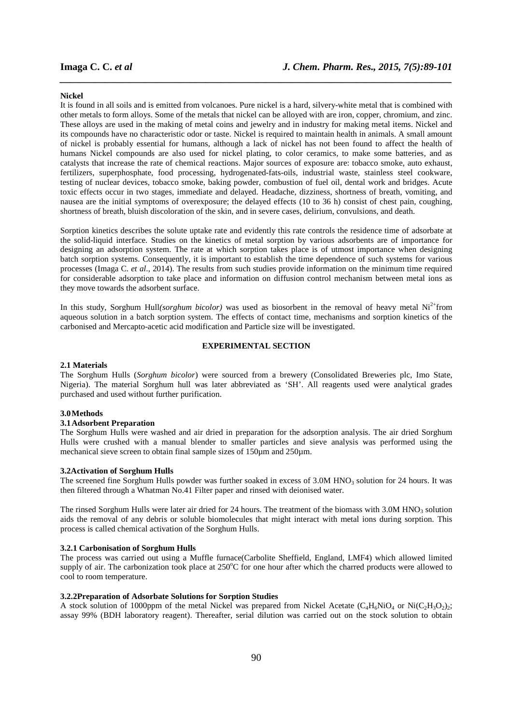#### **Nickel**

It is found in all soils and is emitted from volcanoes. Pure nickel is a hard, silvery-white metal that is combined with other metals to form alloys. Some of the metals that nickel can be alloyed with are iron, copper, chromium, and zinc. These alloys are used in the making of metal coins and jewelry and in industry for making metal items. Nickel and its compounds have no characteristic odor or taste. Nickel is required to maintain health in animals. A small amount of nickel is probably essential for humans, although a lack of nickel has not been found to affect the health of humans Nickel compounds are also used for nickel plating, to color ceramics, to make some batteries, and as catalysts that increase the rate of chemical reactions. Major sources of exposure are: tobacco smoke, auto exhaust, fertilizers, superphosphate, food processing, hydrogenated-fats-oils, industrial waste, stainless steel cookware, testing of nuclear devices, tobacco smoke, baking powder, combustion of fuel oil, dental work and bridges. Acute toxic effects occur in two stages, immediate and delayed. Headache, dizziness, shortness of breath, vomiting, and nausea are the initial symptoms of overexposure; the delayed effects (10 to 36 h) consist of chest pain, coughing, shortness of breath, bluish discoloration of the skin, and in severe cases, delirium, convulsions, and death.

*\_\_\_\_\_\_\_\_\_\_\_\_\_\_\_\_\_\_\_\_\_\_\_\_\_\_\_\_\_\_\_\_\_\_\_\_\_\_\_\_\_\_\_\_\_\_\_\_\_\_\_\_\_\_\_\_\_\_\_\_\_\_\_\_\_\_\_\_\_\_\_\_\_\_\_\_\_\_*

Sorption kinetics describes the solute uptake rate and evidently this rate controls the residence time of adsorbate at the solid-liquid interface. Studies on the kinetics of metal sorption by various adsorbents are of importance for designing an adsorption system. The rate at which sorption takes place is of utmost importance when designing batch sorption systems. Consequently, it is important to establish the time dependence of such systems for various processes (Imaga C. *et al*., 2014). The results from such studies provide information on the minimum time required for considerable adsorption to take place and information on diffusion control mechanism between metal ions as they move towards the adsorbent surface.

In this study, Sorghum Hull*(sorghum bicolor)* was used as biosorbent in the removal of heavy metal  $Ni^{2+}$ from aqueous solution in a batch sorption system. The effects of contact time, mechanisms and sorption kinetics of the carbonised and Mercapto-acetic acid modification and Particle size will be investigated.

# **EXPERIMENTAL SECTION**

### **2.1 Materials**

The Sorghum Hulls (*Sorghum bicolor*) were sourced from a brewery (Consolidated Breweries plc, Imo State, Nigeria). The material Sorghum hull was later abbreviated as 'SH'. All reagents used were analytical grades purchased and used without further purification.

## **3.0Methods**

# **3.1Adsorbent Preparation**

The Sorghum Hulls were washed and air dried in preparation for the adsorption analysis. The air dried Sorghum Hulls were crushed with a manual blender to smaller particles and sieve analysis was performed using the mechanical sieve screen to obtain final sample sizes of 150µm and 250µm.

### **3.2Activation of Sorghum Hulls**

The screened fine Sorghum Hulls powder was further soaked in excess of 3.0M HNO<sub>3</sub> solution for 24 hours. It was then filtered through a Whatman No.41 Filter paper and rinsed with deionised water.

The rinsed Sorghum Hulls were later air dried for 24 hours. The treatment of the biomass with  $3.0M$  HNO<sub>3</sub> solution aids the removal of any debris or soluble biomolecules that might interact with metal ions during sorption. This process is called chemical activation of the Sorghum Hulls.

#### **3.2.1 Carbonisation of Sorghum Hulls**

The process was carried out using a Muffle furnace(Carbolite Sheffield, England, LMF4) which allowed limited supply of air. The carbonization took place at  $250^{\circ}$ C for one hour after which the charred products were allowed to cool to room temperature.

# **3.2.2Preparation of Adsorbate Solutions for Sorption Studies**

A stock solution of 1000ppm of the metal Nickel was prepared from Nickel Acetate ( $C_4H_6NiO_4$  or Ni $(C_2H_3O_2)_{2}$ ; assay 99% (BDH laboratory reagent). Thereafter, serial dilution was carried out on the stock solution to obtain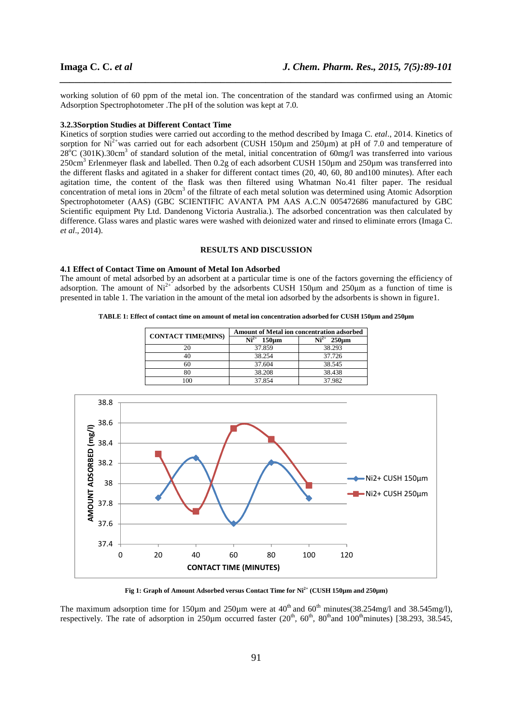working solution of 60 ppm of the metal ion. The concentration of the standard was confirmed using an Atomic Adsorption Spectrophotometer .The pH of the solution was kept at 7.0.

*\_\_\_\_\_\_\_\_\_\_\_\_\_\_\_\_\_\_\_\_\_\_\_\_\_\_\_\_\_\_\_\_\_\_\_\_\_\_\_\_\_\_\_\_\_\_\_\_\_\_\_\_\_\_\_\_\_\_\_\_\_\_\_\_\_\_\_\_\_\_\_\_\_\_\_\_\_\_*

#### **3.2.3Sorption Studies at Different Contact Time**

Kinetics of sorption studies were carried out according to the method described by Imaga C. *etal*., 2014. Kinetics of sorption for  $Ni^{2+}$  was carried out for each adsorbent (CUSH 150 $\mu$ m and 250 $\mu$ m) at pH of 7.0 and temperature of  $28^{\circ}C$  (301K).30cm<sup>3</sup> of standard solution of the metal, initial concentration of 60mg/l was transferred into various 250cm<sup>3</sup> Erlenmeyer flask and labelled. Then 0.2g of each adsorbent CUSH 150µm and 250µm was transferred into the different flasks and agitated in a shaker for different contact times (20, 40, 60, 80 and100 minutes). After each agitation time, the content of the flask was then filtered using Whatman No.41 filter paper. The residual concentration of metal ions in 20cm<sup>3</sup> of the filtrate of each metal solution was determined using Atomic Adsorption Spectrophotometer (AAS) (GBC SCIENTIFIC AVANTA PM AAS A.C.N 005472686 manufactured by GBC Scientific equipment Pty Ltd. Dandenong Victoria Australia.). The adsorbed concentration was then calculated by difference. Glass wares and plastic wares were washed with deionized water and rinsed to eliminate errors (Imaga C. *et al*., 2014).

# **RESULTS AND DISCUSSION**

#### **4.1 Effect of Contact Time on Amount of Metal Ion Adsorbed**

The amount of metal adsorbed by an adsorbent at a particular time is one of the factors governing the efficiency of adsorption. The amount of  $Ni^{2+}$  adsorbed by the adsorbents CUSH 150 $\mu$ m and 250 $\mu$ m as a function of time is presented in table 1. The variation in the amount of the metal ion adsorbed by the adsorbents is shown in figure1.

**TABLE 1: Effect of contact time on amount of metal ion concentration adsorbed for CUSH 150µm and 250µm**

| <b>CONTACT TIME(MINS)</b> | Amount of Metal ion concentration adsorbed |                                       |
|---------------------------|--------------------------------------------|---------------------------------------|
|                           | 150 <sub>um</sub>                          | $\mathrm{Ni}^{2+}$<br>$250 \text{µm}$ |
|                           | 37.859                                     | 38.293                                |
|                           | 38.254                                     | 37.726                                |
| 60                        | 37.604                                     | 38.545                                |
|                           | 38.208                                     | 38.438                                |
|                           | 37.854                                     | 37.982                                |



**Fig 1: Graph of Amount Adsorbed versus Contact Time for Ni2+ (CUSH 150µm and 250µm)** 

The maximum adsorption time for 150 $\mu$ m and 250 $\mu$ m were at 40<sup>th</sup> and 60<sup>th</sup> minutes(38.254mg/l and 38.545mg/l), respectively. The rate of adsorption in 250 $\mu$ m occurred faster (20<sup>th</sup>, 60<sup>th</sup>, 80<sup>th</sup>and 100<sup>th</sup>minutes) [38.293, 38.545,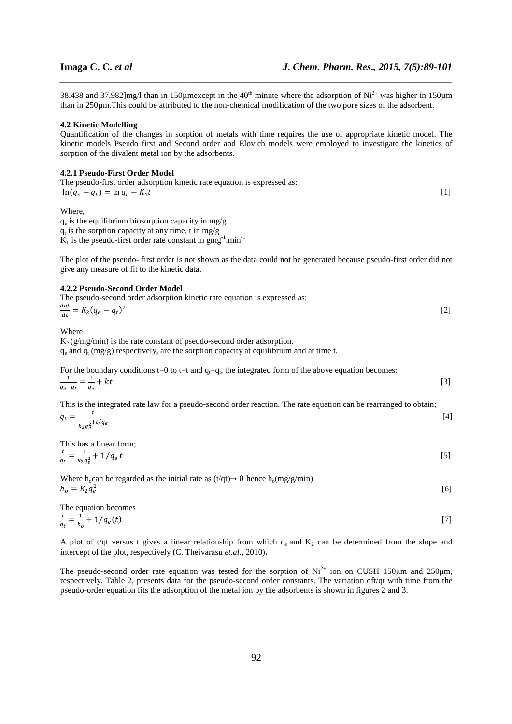[6]

38.438 and 37.982]mg/l than in 150 $\mu$ mexcept in the 40<sup>th</sup> minute where the adsorption of Ni<sup>2+</sup> was higher in 150 $\mu$ m than in 250µm.This could be attributed to the non-chemical modification of the two pore sizes of the adsorbent.

*\_\_\_\_\_\_\_\_\_\_\_\_\_\_\_\_\_\_\_\_\_\_\_\_\_\_\_\_\_\_\_\_\_\_\_\_\_\_\_\_\_\_\_\_\_\_\_\_\_\_\_\_\_\_\_\_\_\_\_\_\_\_\_\_\_\_\_\_\_\_\_\_\_\_\_\_\_\_*

### **4.2 Kinetic Modelling**

Quantification of the changes in sorption of metals with time requires the use of appropriate kinetic model. The kinetic models Pseudo first and Second order and Elovich models were employed to investigate the kinetics of sorption of the divalent metal ion by the adsorbents.

### **4.2.1 Pseudo-First Order Model**

| The pseudo-first order adsorption kinetic rate equation is expressed as: |  |
|--------------------------------------------------------------------------|--|
| $\ln(q_e - q_t) = \ln q_e - K_1 t$                                       |  |
|                                                                          |  |

Where,

 $q_e$  is the equilibrium biosorption capacity in mg/g  $q_t$  is the sorption capacity at any time, t in mg/g  $K_1$  is the pseudo-first order rate constant in  $gmg^{-1}$ .min<sup>-1</sup>

The plot of the pseudo- first order is not shown as the data could not be generated because pseudo-first order did not give any measure of fit to the kinetic data.

#### **4.2.2 Pseudo-Second Order Model**

| The pseudo-second order adsorption kinetic rate equation is expressed as: |  |
|---------------------------------------------------------------------------|--|
| $\frac{dqt}{dt} = K_2(q_e - q_t)^2$                                       |  |
|                                                                           |  |

Where

 $K_2$  (g/mg/min) is the rate constant of pseudo-second order adsorption.  $q_e$  and  $q_t$  (mg/g) respectively, are the sorption capacity at equilibrium and at time t.

For the boundary conditions t=0 to t=t and  $q_t = q_t$ , the integrated form of the above equation becomes:  $\mathbf{1}$  $\frac{1}{q_e-q_t}=\frac{1}{q_e}$ q<sub>e</sub>  $+kt$  (3)

This is the integrated rate law for a pseudo-second order reaction. The rate equation can be rearranged to obtain;  $\sim$ t  $[4]$ 

$$
q_t - \frac{1}{k_2 q_e^2} + t/q_e
$$

This has a linear form; t  $\mathbf{1}$ 

$$
\frac{c}{q_t} = \frac{1}{k_2 q_e^2} + 1/q_e t \tag{5}
$$

Where h<sub>o</sub>can be regarded as the initial rate as  $(t/qt) \rightarrow 0$  hence h<sub>o</sub>(mg/g/min)  $h_o = K_2 q_e^2$ 

The equation becomes  
\n
$$
\frac{t}{q_t} = \frac{1}{h_o} + 1/q_e(t)
$$
\n[7]

A plot of t/qt versus t gives a linear relationship from which  $q_e$  and  $K_2$  can be determined from the slope and intercept of the plot, respectively (C. Theivarasu *et.al*., 2010)**.** 

The pseudo-second order rate equation was tested for the sorption of  $Ni^{2+}$  ion on CUSH 150µm and 250µm, respectively. Table 2, presents data for the pseudo-second order constants. The variation oft/qt with time from the pseudo-order equation fits the adsorption of the metal ion by the adsorbents is shown in figures 2 and 3.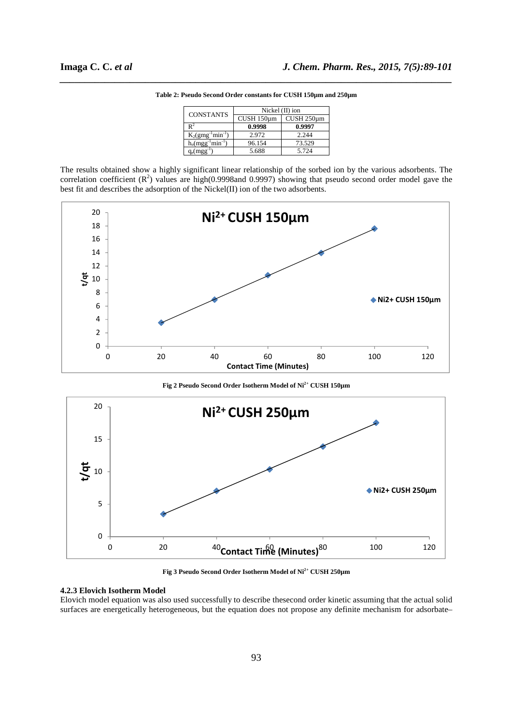| <b>CONSTANTS</b>         | Nickel $(II)$ ion |            |
|--------------------------|-------------------|------------|
|                          | CUSH 150um        | CUSH 250um |
| R٠                       | 0.9998            | 0.9997     |
| $K_2(gmg^{-1}min^{-1})$  | 2.972             | 2.244      |
| $h_0(mgg^{-1}min^{-1})$  | 96.154            | 73.529     |
| $q_e(m\varrho\varrho^-)$ | 5.688             | 5.724      |

*\_\_\_\_\_\_\_\_\_\_\_\_\_\_\_\_\_\_\_\_\_\_\_\_\_\_\_\_\_\_\_\_\_\_\_\_\_\_\_\_\_\_\_\_\_\_\_\_\_\_\_\_\_\_\_\_\_\_\_\_\_\_\_\_\_\_\_\_\_\_\_\_\_\_\_\_\_\_* **Table 2: Pseudo Second Order constants for CUSH 150µm and 250µm** 

The results obtained show a highly significant linear relationship of the sorbed ion by the various adsorbents. The correlation coefficient  $(R^2)$  values are high(0.9998and 0.9997) showing that pseudo second order model gave the best fit and describes the adsorption of the Nickel(II) ion of the two adsorbents.



**Fig 2 Pseudo Second Order Isotherm Model of Ni2+ CUSH 150µm** 



**Fig 3 Pseudo Second Order Isotherm Model of Ni2+ CUSH 250µm** 

### **4.2.3 Elovich Isotherm Model**

Elovich model equation was also used successfully to describe thesecond order kinetic assuming that the actual solid surfaces are energetically heterogeneous, but the equation does not propose any definite mechanism for adsorbate–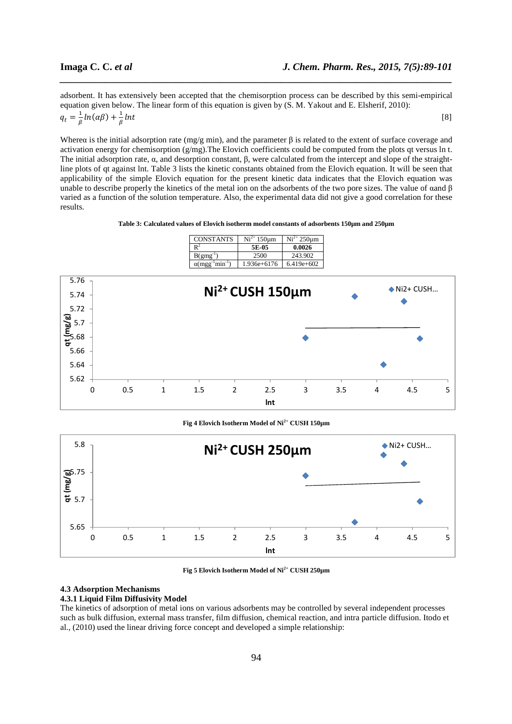adsorbent. It has extensively been accepted that the chemisorption process can be described by this semi-empirical equation given below. The linear form of this equation is given by (S. M. Yakout and E. Elsherif, 2010):  $q_t=\frac{1}{\beta}$  $\frac{1}{\beta}ln(\alpha\beta) + \frac{1}{\beta}$  $_{\beta}$  $Int$  (8)

*\_\_\_\_\_\_\_\_\_\_\_\_\_\_\_\_\_\_\_\_\_\_\_\_\_\_\_\_\_\_\_\_\_\_\_\_\_\_\_\_\_\_\_\_\_\_\_\_\_\_\_\_\_\_\_\_\_\_\_\_\_\_\_\_\_\_\_\_\_\_\_\_\_\_\_\_\_\_*

Wherea is the initial adsorption rate (mg/g min), and the parameter  $\beta$  is related to the extent of surface coverage and activation energy for chemisorption (g/mg).The Elovich coefficients could be computed from the plots qt versus ln t. The initial adsorption rate, α, and desorption constant, β, were calculated from the intercept and slope of the straightline plots of qt against lnt. Table 3 lists the kinetic constants obtained from the Elovich equation. It will be seen that applicability of the simple Elovich equation for the present kinetic data indicates that the Elovich equation was unable to describe properly the kinetics of the metal ion on the adsorbents of the two pore sizes. The value of  $\alpha$ and  $\beta$ varied as a function of the solution temperature. Also, the experimental data did not give a good correlation for these results.

#### **Table 3: Calculated values of Elovich isotherm model constants of adsorbents 150µm and 250µm**



#### **Fig 4 Elovich Isotherm Model of Ni2+ CUSH 150µm**



**Fig 5 Elovich Isotherm Model of Ni2+ CUSH 250µm** 

### **4.3 Adsorption Mechanisms**

#### **4.3.1 Liquid Film Diffusivity Model**

The kinetics of adsorption of metal ions on various adsorbents may be controlled by several independent processes such as bulk diffusion, external mass transfer, film diffusion, chemical reaction, and intra particle diffusion. Itodo et al., (2010) used the linear driving force concept and developed a simple relationship: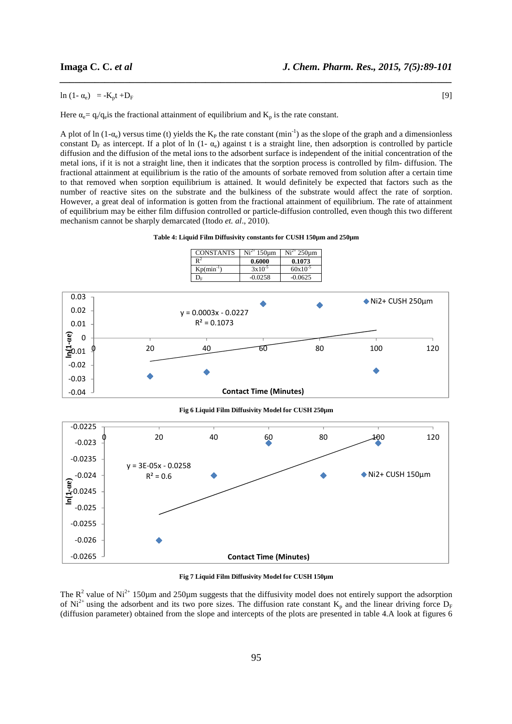## ln  $(1 - \alpha_e) = -K_p t + D_F$  [9]

Here  $\alpha_e = q_e/q_e$  is the fractional attainment of equilibrium and  $K_p$  is the rate constant.

A plot of ln  $(1-a_e)$  versus time (t) yields the K<sub>P</sub> the rate constant  $(min^{-1})$  as the slope of the graph and a dimensionless constant  $D_F$  as intercept. If a plot of ln (1-  $\alpha_e$ ) against t is a straight line, then adsorption is controlled by particle diffusion and the diffusion of the metal ions to the adsorbent surface is independent of the initial concentration of the metal ions, if it is not a straight line, then it indicates that the sorption process is controlled by film- diffusion. The fractional attainment at equilibrium is the ratio of the amounts of sorbate removed from solution after a certain time to that removed when sorption equilibrium is attained. It would definitely be expected that factors such as the number of reactive sites on the substrate and the bulkiness of the substrate would affect the rate of sorption. However, a great deal of information is gotten from the fractional attainment of equilibrium. The rate of attainment of equilibrium may be either film diffusion controlled or particle-diffusion controlled, even though this two different mechanism cannot be sharply demarcated (Itodo *et. al*., 2010).

*\_\_\_\_\_\_\_\_\_\_\_\_\_\_\_\_\_\_\_\_\_\_\_\_\_\_\_\_\_\_\_\_\_\_\_\_\_\_\_\_\_\_\_\_\_\_\_\_\_\_\_\_\_\_\_\_\_\_\_\_\_\_\_\_\_\_\_\_\_\_\_\_\_\_\_\_\_\_*





**Fig 7 Liquid Film Diffusivity Model for CUSH 150µm** 

The  $R^2$  value of Ni<sup>2+</sup> 150 $\mu$ m and 250 $\mu$ m suggests that the diffusivity model does not entirely support the adsorption of Ni<sup>2+</sup> using the adsorbent and its two pore sizes. The diffusion rate constant  $K_p$  and the linear driving force  $D_F$ (diffusion parameter) obtained from the slope and intercepts of the plots are presented in table 4.A look at figures 6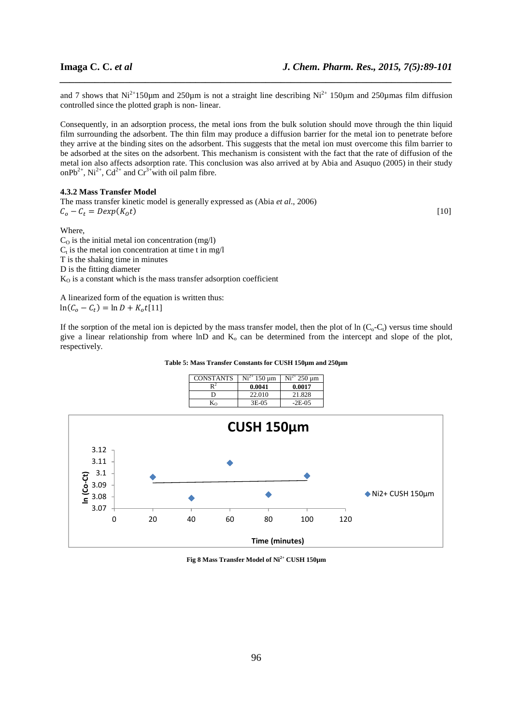and 7 shows that  $Ni^{2+150\mu m}$  and 250 $\mu$ m is not a straight line describing  $Ni^{2+150\mu m}$  and 250 $\mu$ mas film diffusion controlled since the plotted graph is non- linear.

*\_\_\_\_\_\_\_\_\_\_\_\_\_\_\_\_\_\_\_\_\_\_\_\_\_\_\_\_\_\_\_\_\_\_\_\_\_\_\_\_\_\_\_\_\_\_\_\_\_\_\_\_\_\_\_\_\_\_\_\_\_\_\_\_\_\_\_\_\_\_\_\_\_\_\_\_\_\_*

Consequently, in an adsorption process, the metal ions from the bulk solution should move through the thin liquid film surrounding the adsorbent. The thin film may produce a diffusion barrier for the metal ion to penetrate before they arrive at the binding sites on the adsorbent. This suggests that the metal ion must overcome this film barrier to be adsorbed at the sites on the adsorbent. This mechanism is consistent with the fact that the rate of diffusion of the metal ion also affects adsorption rate. This conclusion was also arrived at by Abia and Asuquo (2005) in their study onPb<sup>2+</sup>, Ni<sup>2+</sup>, Cd<sup>2+</sup> and Cr<sup>3+</sup>with oil palm fibre.

#### **4.3.2 Mass Transfer Model**

3.07

**ln (Co-Ct)**

The mass transfer kinetic model is generally expressed as (Abia *et al*., 2006)  $C_o - C_t = Dexp(K_o t)$  $\int_{0}^{t}$  (10)

Where,  $C<sub>o</sub>$  is the initial metal ion concentration (mg/l)  $C_t$  is the metal ion concentration at time t in mg/l T is the shaking time in minutes D is the fitting diameter  $K<sub>o</sub>$  is a constant which is the mass transfer adsorption coefficient

A linearized form of the equation is written thus:  $\ln(C_o - C_t) = \ln D + K_o t[11]$ 

If the sorption of the metal ion is depicted by the mass transfer model, then the plot of  $\ln (C_0-C_t)$  versus time should give a linear relationship from where lnD and  $K_0$  can be determined from the intercept and slope of the plot, respectively.

#### **Table 5: Mass Transfer Constants for CUSH 150µm and 250µm**



0 20 40 60 80 100 120 **Time (minutes)**

**Fig 8 Mass Transfer Model of Ni2+ CUSH 150µm**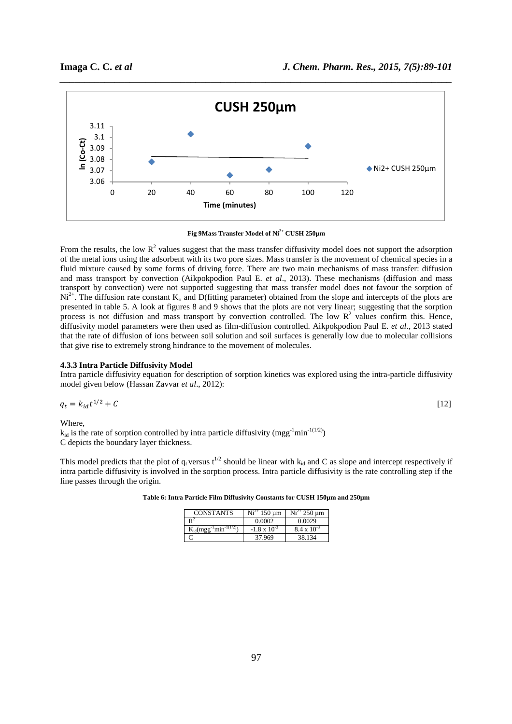

**Fig 9Mass Transfer Model of Ni2+ CUSH 250µm** 

From the results, the low  $R^2$  values suggest that the mass transfer diffusivity model does not support the adsorption of the metal ions using the adsorbent with its two pore sizes. Mass transfer is the movement of chemical species in a fluid mixture caused by some forms of driving force. There are two main mechanisms of mass transfer: diffusion and mass transport by convection (Aikpokpodion Paul E. *et al*., 2013). These mechanisms (diffusion and mass transport by convection) were not supported suggesting that mass transfer model does not favour the sorption of  $Ni^{2+}$ . The diffusion rate constant  $K_0$  and D(fitting parameter) obtained from the slope and intercepts of the plots are presented in table 5. A look at figures 8 and 9 shows that the plots are not very linear; suggesting that the sorption process is not diffusion and mass transport by convection controlled. The low  $R<sup>2</sup>$  values confirm this. Hence, diffusivity model parameters were then used as film-diffusion controlled. Aikpokpodion Paul E. *et al*., 2013 stated that the rate of diffusion of ions between soil solution and soil surfaces is generally low due to molecular collisions that give rise to extremely strong hindrance to the movement of molecules.

#### **4.3.3 Intra Particle Diffusivity Model**

Intra particle diffusivity equation for description of sorption kinetics was explored using the intra-particle diffusivity model given below (Hassan Zavvar *et al*., 2012):

$$
q_t = k_{id}t^{1/2} + C \tag{12}
$$

Where,

 $k_{id}$  is the rate of sorption controlled by intra particle diffusivity (mgg<sup>-1</sup>min<sup>-1(1/2)</sup>) C depicts the boundary layer thickness.

This model predicts that the plot of  $q_t$  versus  $t^{1/2}$  should be linear with  $k_{id}$  and C as slope and intercept respectively if intra particle diffusivity is involved in the sorption process. Intra particle diffusivity is the rate controlling step if the line passes through the origin.

| <b>CONSTANTS</b>                | $150 \text{ µm}$      | $Ni2+ 250 \,\mu m$   |
|---------------------------------|-----------------------|----------------------|
|                                 | 0.0002                | 0.0029               |
| $K_{id}(mgg^{-1}min^{-1(1/2)})$ | $-1.8 \times 10^{-3}$ | $8.4 \times 10^{-3}$ |
|                                 | 37.969                | 38.134               |

**Table 6: Intra Particle Film Diffusivity Constants for CUSH 150µm and 250µm**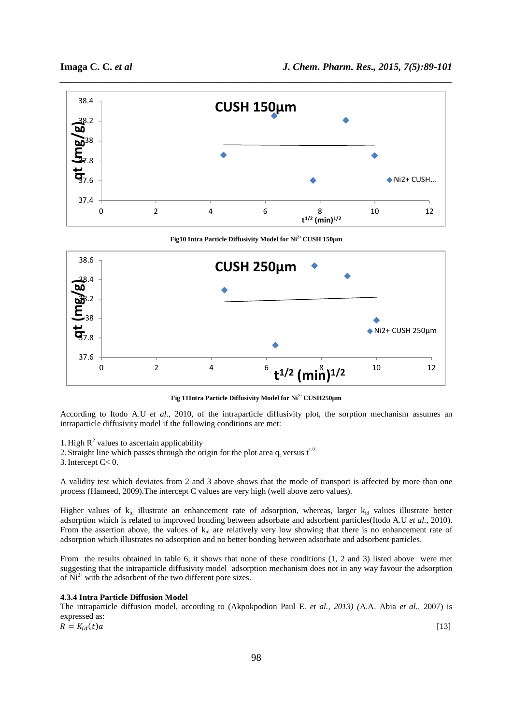

*\_\_\_\_\_\_\_\_\_\_\_\_\_\_\_\_\_\_\_\_\_\_\_\_\_\_\_\_\_\_\_\_\_\_\_\_\_\_\_\_\_\_\_\_\_\_\_\_\_\_\_\_\_\_\_\_\_\_\_\_\_\_\_\_\_\_\_\_\_\_\_\_\_\_\_\_\_\_*



**Fig 11Intra Particle Diffusivity Model for Ni2+ CUSH250µm** 

According to Itodo A.U *et al*., 2010, of the intraparticle diffusivity plot, the sorption mechanism assumes an intraparticle diffusivity model if the following conditions are met:

1. High  $R^2$  values to ascertain applicability

2. Straight line which passes through the origin for the plot area  $q_t$  versus  $t^{1/2}$ 

3.Intercept C< 0.

A validity test which deviates from 2 and 3 above shows that the mode of transport is affected by more than one process (Hameed, 2009).The intercept C values are very high (well above zero values).

Higher values of  $k_{id}$  illustrate an enhancement rate of adsorption, whereas, larger  $k_{id}$  values illustrate better adsorption which is related to improved bonding between adsorbate and adsorbent particles(Itodo A.U *et al*., 2010). From the assertion above, the values of  $k_{id}$  are relatively very low showing that there is no enhancement rate of adsorption which illustrates no adsorption and no better bonding between adsorbate and adsorbent particles.

From the results obtained in table 6, it shows that none of these conditions (1, 2 and 3) listed above were met suggesting that the intraparticle diffusivity model adsorption mechanism does not in any way favour the adsorption of  $Ni<sup>2+</sup>$  with the adsorbent of the two different pore sizes.

### **4.3.4 Intra Particle Diffusion Model**

The intraparticle diffusion model, according to (Akpokpodion Paul E. *et al., 2013) (*A.A. Abia *et al.,* 2007) is expressed as:  $R = K_{id}(t)a$  $\mathcal{L}_{id}(t)a$  [13]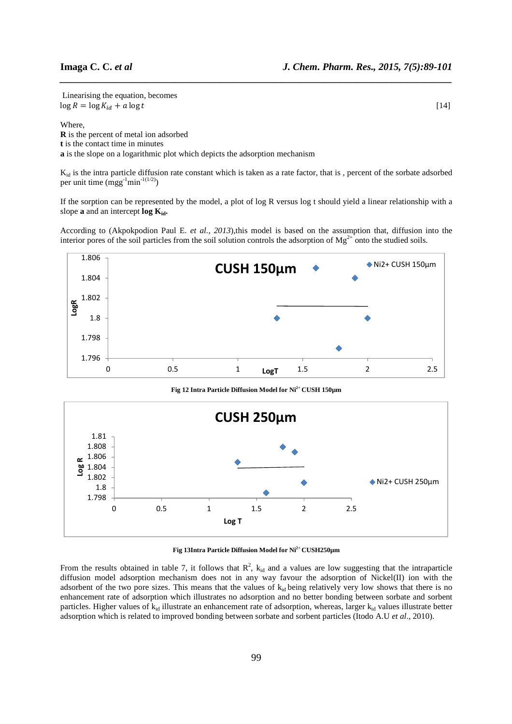Linearising the equation, becomes  $\log R = \log K_{id} + a \log t$  $\int_{t}^{t} a + a \log t$  [14]

Where,

**R** is the percent of metal ion adsorbed **t** is the contact time in minutes **a** is the slope on a logarithmic plot which depicts the adsorption mechanism

 $K_{id}$  is the intra particle diffusion rate constant which is taken as a rate factor, that is, percent of the sorbate adsorbed per unit time  $(mgg^{-1}min^{-1(1/2)})$ 

*\_\_\_\_\_\_\_\_\_\_\_\_\_\_\_\_\_\_\_\_\_\_\_\_\_\_\_\_\_\_\_\_\_\_\_\_\_\_\_\_\_\_\_\_\_\_\_\_\_\_\_\_\_\_\_\_\_\_\_\_\_\_\_\_\_\_\_\_\_\_\_\_\_\_\_\_\_\_*

If the sorption can be represented by the model, a plot of log R versus log t should yield a linear relationship with a slope **a** and an intercept **log Kid.** 

According to (Akpokpodion Paul E. *et al., 2013*),this model is based on the assumption that, diffusion into the interior pores of the soil particles from the soil solution controls the adsorption of  $Mg^{2+}$  onto the studied soils.



**Fig 12 Intra Particle Diffusion Model for Ni2+ CUSH 150µm** 





From the results obtained in table 7, it follows that  $R^2$ ,  $k_{id}$  and a values are low suggesting that the intraparticle diffusion model adsorption mechanism does not in any way favour the adsorption of Nickel(II) ion with the adsorbent of the two pore sizes. This means that the values of  $k_{id}$  being relatively very low shows that there is no enhancement rate of adsorption which illustrates no adsorption and no better bonding between sorbate and sorbent particles. Higher values of  $k_{id}$  illustrate an enhancement rate of adsorption, whereas, larger  $k_{id}$  values illustrate better adsorption which is related to improved bonding between sorbate and sorbent particles (Itodo A.U *et al*., 2010).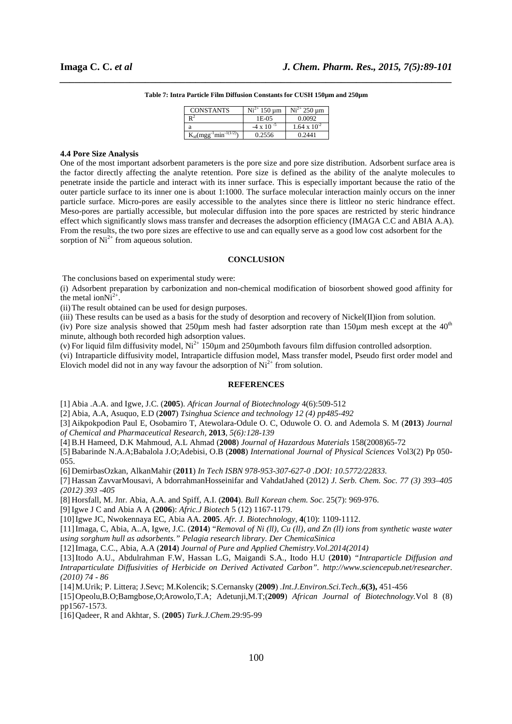| <b>CONSTANTS</b>                       | 150 um              | $Ni2+$<br>$250 \text{ µm}$ |
|----------------------------------------|---------------------|----------------------------|
|                                        | 1E-05               | 0.0092                     |
|                                        | $-4 \times 10^{-5}$ | $1.64 \times 10^{-2}$      |
| $K_{\text{id}}(mgg^{-1}min^{-1(1/2)})$ | 0.2556              | (1.2441)                   |

# *\_\_\_\_\_\_\_\_\_\_\_\_\_\_\_\_\_\_\_\_\_\_\_\_\_\_\_\_\_\_\_\_\_\_\_\_\_\_\_\_\_\_\_\_\_\_\_\_\_\_\_\_\_\_\_\_\_\_\_\_\_\_\_\_\_\_\_\_\_\_\_\_\_\_\_\_\_\_* **Table 7: Intra Particle Film Diffusion Constants for CUSH 150µm and 250µm**

#### **4.4 Pore Size Analysis**

One of the most important adsorbent parameters is the pore size and pore size distribution. Adsorbent surface area is the factor directly affecting the analyte retention. Pore size is defined as the ability of the analyte molecules to penetrate inside the particle and interact with its inner surface. This is especially important because the ratio of the outer particle surface to its inner one is about 1:1000. The surface molecular interaction mainly occurs on the inner particle surface. Micro-pores are easily accessible to the analytes since there is littleor no steric hindrance effect. Meso-pores are partially accessible, but molecular diffusion into the pore spaces are restricted by steric hindrance effect which significantly slows mass transfer and decreases the adsorption efficiency (IMAGA C.C and ABIA A.A). From the results, the two pore sizes are effective to use and can equally serve as a good low cost adsorbent for the sorption of  $Ni^{2+}$  from aqueous solution.

## **CONCLUSION**

The conclusions based on experimental study were:

(i) Adsorbent preparation by carbonization and non-chemical modification of biosorbent showed good affinity for the metal ion $Ni^{2+}$ .

(ii)The result obtained can be used for design purposes.

(iii) These results can be used as a basis for the study of desorption and recovery of Nickel(II)ion from solution.

(iv) Pore size analysis showed that  $250\mu$ m mesh had faster adsorption rate than  $150\mu$ m mesh except at the  $40<sup>th</sup>$ minute, although both recorded high adsorption values.

(v) For liquid film diffusivity model,  $Ni^{2+}$  150 $\mu$ m and 250 $\mu$ mboth favours film diffusion controlled adsorption.

(vi) Intraparticle diffusivity model, Intraparticle diffusion model, Mass transfer model, Pseudo first order model and Elovich model did not in any way favour the adsorption of  $Ni<sup>2+</sup>$  from solution.

# **REFERENCES**

[1] Abia .A.A. and Igwe, J.C. (**2005**). *African Journal of Biotechnology* 4(6):509-512

[2] Abia, A.A, Asuquo, E.D (**2007**) *Tsinghua Science and technology 12 (4) pp485-492* 

[3] Aikpokpodion Paul E, Osobamiro T, Atewolara-Odule O. C, Oduwole O. O. and Ademola S. M (**2013**) *Journal of Chemical and Pharmaceutical Research,* **2013***, 5(6):128-139* 

[4] B.H Hameed, D.K Mahmoud, A.L Ahmad (**2008**) *Journal of Hazardous Materials* 158(2008)65-72

[5] Babarinde N.A.A;Babalola J.O;Adebisi, O.B (**2008**) *International Journal of Physical Sciences* Vol3(2) Pp 050- 055.

[6] DemirbasOzkan, AlkanMahir (**2011**) *In Tech ISBN 978-953-307-627-0 .DOI: 10.5772/22833.*

[7] Hassan ZavvarMousavi, A bdorrahmanHosseinifar and VahdatJahed (2012) *J. Serb. Chem. Soc. 77 (3) 393–405 (2012) 393 -405*

[8] Horsfall, M. Jnr. Abia, A.A. and Spiff, A.I. (**2004**). *Bull Korean chem. Soc*. 25(7): 969-976.

[9] Igwe J C and Abia A A (**2006**): *Afric.J Biotech* 5 (12) 1167-1179.

[10]Igwe JC, Nwokennaya EC, Abia AA. **2005**. *Afr. J. Biotechnology,* **4**(10): 1109-1112.

[11]Imaga, C, Abia, A..A, Igwe, J.C. (**2014**) "*Removal of Ni (ll), Cu (ll), and Zn (ll) ions from synthetic waste water using sorghum hull as adsorbents." Pelagia research library. Der ChemicaSinica*

[12]Imaga, C.C., Abia, A.A (**2014**) *Journal of Pure and Applied Chemistry.Vol.2014(2014)* 

[13]Itodo A.U., Abdulrahman F.W, Hassan L.G, Maigandi S.A., Itodo H.U (**2010**) *"Intraparticle Diffusion and Intraparticulate Diffusivities of Herbicide on Derived Activated Carbon". http://www.sciencepub.net/researcher. (2010) 74 - 86*

[14]M.Urik; P. Littera; J.Sevc; M.Kolencik; S.Cernansky (**2009**) *.Int.J.Environ.Sci.Tech*.,**6(3),** 451-456

[15]Opeolu,B.O;Bamgbose,O;Arowolo,T.A; Adetunji,M.T;(**2009**) *African Journal of Biotechnology.*Vol 8 (8) pp1567-1573.

[16]Qadeer, R and Akhtar, S. (**2005**) *Turk.J.Chem*.29:95-99